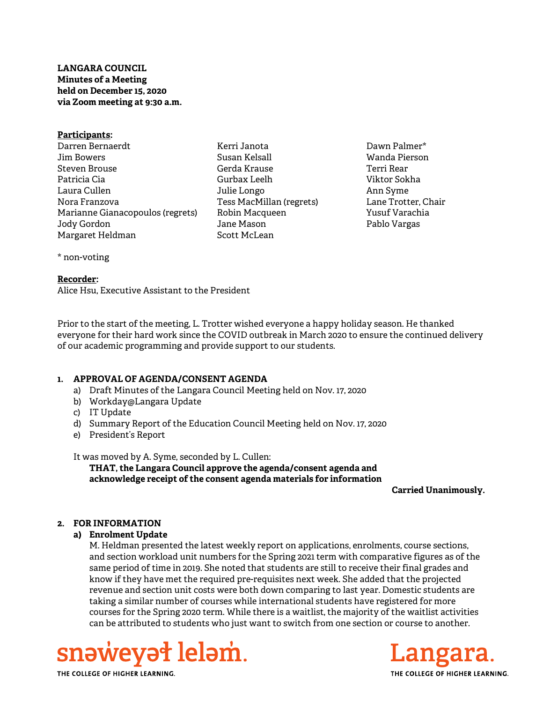LANGARA COUNCIL Minutes of a Meeting held on December 15, 2020 via Zoom meeting at 9:30 a.m.

### Participants:

Darren Bernaerdt Jim Bowers Steven Brouse Patricia Cia Laura Cullen Nora Franzova Marianne Gianacopoulos (regrets) Jody Gordon Margaret Heldman

Kerri Janota Susan Kelsall Gerda Krause Gurbax Leelh Julie Longo Tess MacMillan (regrets) Robin Macqueen Jane Mason Scott McLean

Dawn Palmer\* Wanda Pierson Terri Rear Viktor Sokha Ann Syme Lane Trotter, Chair Yusuf Varachia Pablo Vargas

\* non-voting

### Recorder:

Alice Hsu, Executive Assistant to the President

Prior to the start of the meeting, L. Trotter wished everyone a happy holiday season. He thanked everyone for their hard work since the COVID outbreak in March 2020 to ensure the continued delivery of our academic programming and provide support to our students.

# 1. APPROVAL OF AGENDA/CONSENT AGENDA

- a) Draft Minutes of the Langara Council Meeting held on Nov. 17, 2020
- b) Workday@Langara Update
- c) IT Update
- d) Summary Report of the Education Council Meeting held on Nov. 17, 2020
- e) President's Report

It was moved by A. Syme, seconded by L. Cullen:

THAT, the Langara Council approve the agenda/consent agenda and acknowledge receipt of the consent agenda materials for information

Carried Unanimously.

# 2. FOR INFORMATION

# a) Enrolment Update

M. Heldman presented the latest weekly report on applications, enrolments, course sections, and section workload unit numbers for the Spring 2021 term with comparative figures as of the same period of time in 2019. She noted that students are still to receive their final grades and know if they have met the required pre-requisites next week. She added that the projected revenue and section unit costs were both down comparing to last year. Domestic students are taking a similar number of courses while international students have registered for more courses for the Spring 2020 term. While there is a waitlist, the majority of the waitlist activities can be attributed to students who just want to switch from one section or course to another.





THE COLLEGE OF HIGHER LEARNING.